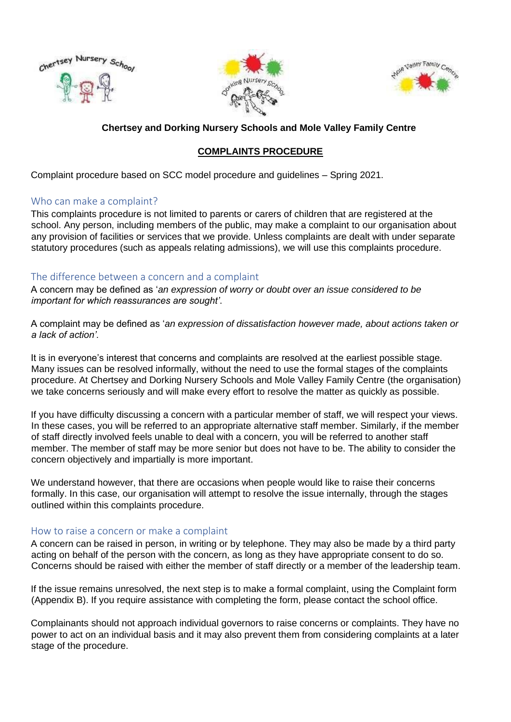





## **Chertsey and Dorking Nursery Schools and Mole Valley Family Centre**

## **COMPLAINTS PROCEDURE**

Complaint procedure based on SCC model procedure and guidelines – Spring 2021.

#### Who can make a complaint?

This complaints procedure is not limited to parents or carers of children that are registered at the school. Any person, including members of the public, may make a complaint to our organisation about any provision of facilities or services that we provide. Unless complaints are dealt with under separate statutory procedures (such as appeals relating admissions), we will use this complaints procedure.

### The difference between a concern and a complaint

A concern may be defined as '*an expression of worry or doubt over an issue considered to be important for which reassurances are sought'*.

A complaint may be defined as '*an expression of dissatisfaction however made, about actions taken or a lack of action'.*

It is in everyone's interest that concerns and complaints are resolved at the earliest possible stage. Many issues can be resolved informally, without the need to use the formal stages of the complaints procedure. At Chertsey and Dorking Nursery Schools and Mole Valley Family Centre (the organisation) we take concerns seriously and will make every effort to resolve the matter as quickly as possible.

If you have difficulty discussing a concern with a particular member of staff, we will respect your views. In these cases, you will be referred to an appropriate alternative staff member. Similarly, if the member of staff directly involved feels unable to deal with a concern, you will be referred to another staff member. The member of staff may be more senior but does not have to be. The ability to consider the concern objectively and impartially is more important.

We understand however, that there are occasions when people would like to raise their concerns formally. In this case, our organisation will attempt to resolve the issue internally, through the stages outlined within this complaints procedure.

#### How to raise a concern or make a complaint

A concern can be raised in person, in writing or by telephone. They may also be made by a third party acting on behalf of the person with the concern, as long as they have appropriate consent to do so. Concerns should be raised with either the member of staff directly or a member of the leadership team.

If the issue remains unresolved, the next step is to make a formal complaint, using the Complaint form (Appendix B). If you require assistance with completing the form, please contact the school office.

Complainants should not approach individual governors to raise concerns or complaints. They have no power to act on an individual basis and it may also prevent them from considering complaints at a later stage of the procedure.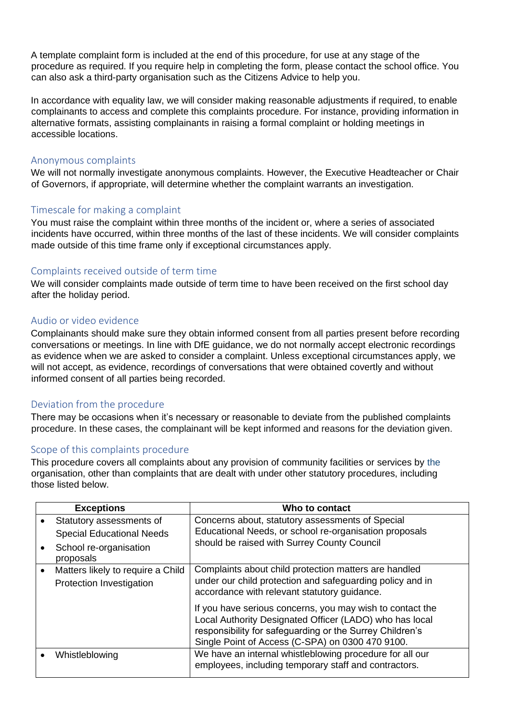A template complaint form is included at the end of this procedure, for use at any stage of the procedure as required. If you require help in completing the form, please contact the school office. You can also ask a third-party organisation such as the Citizens Advice to help you.

In accordance with equality law, we will consider making reasonable adjustments if required, to enable complainants to access and complete this complaints procedure. For instance, providing information in alternative formats, assisting complainants in raising a formal complaint or holding meetings in accessible locations.

#### Anonymous complaints

We will not normally investigate anonymous complaints. However, the Executive Headteacher or Chair of Governors, if appropriate, will determine whether the complaint warrants an investigation.

### Timescale for making a complaint

You must raise the complaint within three months of the incident or, where a series of associated incidents have occurred, within three months of the last of these incidents. We will consider complaints made outside of this time frame only if exceptional circumstances apply.

#### Complaints received outside of term time

We will consider complaints made outside of term time to have been received on the first school day after the holiday period.

#### Audio or video evidence

Complainants should make sure they obtain informed consent from all parties present before recording conversations or meetings. In line with DfE guidance, we do not normally accept electronic recordings as evidence when we are asked to consider a complaint. Unless exceptional circumstances apply, we will not accept, as evidence, recordings of conversations that were obtained covertly and without informed consent of all parties being recorded.

### Deviation from the procedure

There may be occasions when it's necessary or reasonable to deviate from the published complaints procedure. In these cases, the complainant will be kept informed and reasons for the deviation given.

### Scope of this complaints procedure

This procedure covers all complaints about any provision of community facilities or services by the organisation, other than complaints that are dealt with under other statutory procedures, including those listed below.

| <b>Exceptions</b>                                             | Who to contact                                                                                                                                                                                                                                                                       |
|---------------------------------------------------------------|--------------------------------------------------------------------------------------------------------------------------------------------------------------------------------------------------------------------------------------------------------------------------------------|
| Statutory assessments of                                      | Concerns about, statutory assessments of Special                                                                                                                                                                                                                                     |
| <b>Special Educational Needs</b>                              | Educational Needs, or school re-organisation proposals                                                                                                                                                                                                                               |
| School re-organisation<br>proposals                           | should be raised with Surrey County Council                                                                                                                                                                                                                                          |
| Matters likely to require a Child<br>Protection Investigation | Complaints about child protection matters are handled<br>under our child protection and safeguarding policy and in                                                                                                                                                                   |
|                                                               | accordance with relevant statutory guidance.<br>If you have serious concerns, you may wish to contact the<br>Local Authority Designated Officer (LADO) who has local<br>responsibility for safeguarding or the Surrey Children's<br>Single Point of Access (C-SPA) on 0300 470 9100. |
| Whistleblowing                                                | We have an internal whistleblowing procedure for all our<br>employees, including temporary staff and contractors.                                                                                                                                                                    |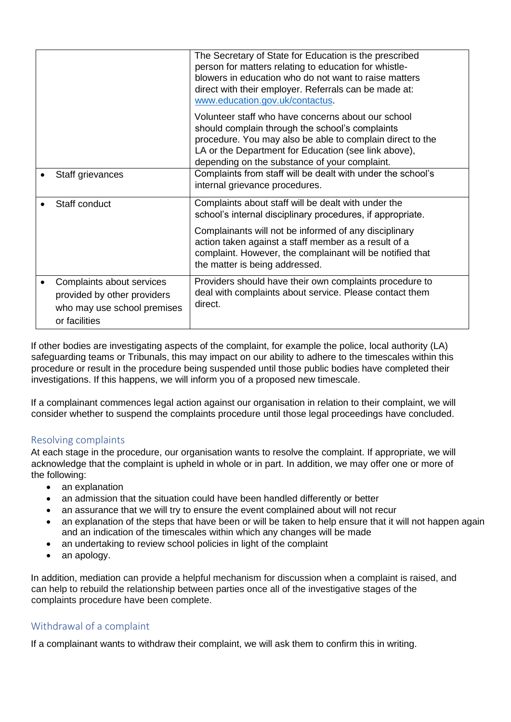|                                                                                                          | The Secretary of State for Education is the prescribed<br>person for matters relating to education for whistle-<br>blowers in education who do not want to raise matters<br>direct with their employer. Referrals can be made at:<br>www.education.gov.uk/contactus.        |
|----------------------------------------------------------------------------------------------------------|-----------------------------------------------------------------------------------------------------------------------------------------------------------------------------------------------------------------------------------------------------------------------------|
|                                                                                                          | Volunteer staff who have concerns about our school<br>should complain through the school's complaints<br>procedure. You may also be able to complain direct to the<br>LA or the Department for Education (see link above),<br>depending on the substance of your complaint. |
| Staff grievances                                                                                         | Complaints from staff will be dealt with under the school's<br>internal grievance procedures.                                                                                                                                                                               |
| Staff conduct                                                                                            | Complaints about staff will be dealt with under the<br>school's internal disciplinary procedures, if appropriate.<br>Complainants will not be informed of any disciplinary                                                                                                  |
|                                                                                                          | action taken against a staff member as a result of a<br>complaint. However, the complainant will be notified that<br>the matter is being addressed.                                                                                                                         |
| Complaints about services<br>provided by other providers<br>who may use school premises<br>or facilities | Providers should have their own complaints procedure to<br>deal with complaints about service. Please contact them<br>direct.                                                                                                                                               |

If other bodies are investigating aspects of the complaint, for example the police, local authority (LA) safeguarding teams or Tribunals, this may impact on our ability to adhere to the timescales within this procedure or result in the procedure being suspended until those public bodies have completed their investigations. If this happens, we will inform you of a proposed new timescale.

If a complainant commences legal action against our organisation in relation to their complaint, we will consider whether to suspend the complaints procedure until those legal proceedings have concluded.

### Resolving complaints

At each stage in the procedure, our organisation wants to resolve the complaint. If appropriate, we will acknowledge that the complaint is upheld in whole or in part. In addition, we may offer one or more of the following:

- an explanation
- an admission that the situation could have been handled differently or better
- an assurance that we will try to ensure the event complained about will not recur
- an explanation of the steps that have been or will be taken to help ensure that it will not happen again and an indication of the timescales within which any changes will be made
- an undertaking to review school policies in light of the complaint
- an apology.

In addition, mediation can provide a helpful mechanism for discussion when a complaint is raised, and can help to rebuild the relationship between parties once all of the investigative stages of the complaints procedure have been complete.

## Withdrawal of a complaint

If a complainant wants to withdraw their complaint, we will ask them to confirm this in writing.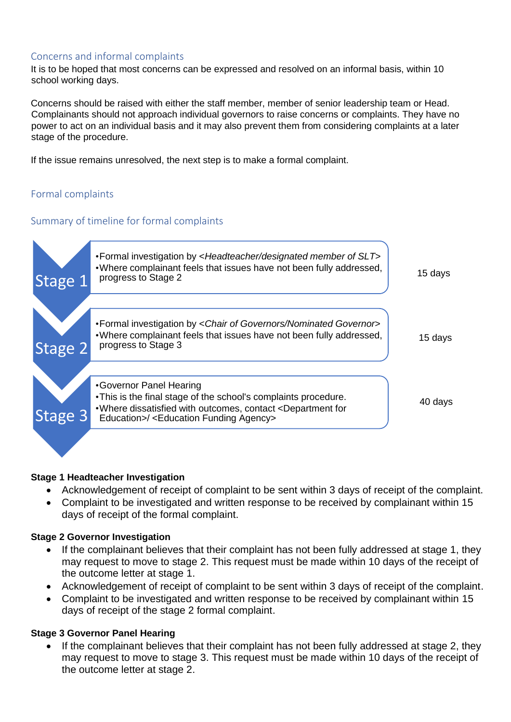## Concerns and informal complaints

It is to be hoped that most concerns can be expressed and resolved on an informal basis, within 10 school working days.

Concerns should be raised with either the staff member, member of senior leadership team or Head. Complainants should not approach individual governors to raise concerns or complaints. They have no power to act on an individual basis and it may also prevent them from considering complaints at a later stage of the procedure.

If the issue remains unresolved, the next step is to make a formal complaint.

## Formal complaints

## Summary of timeline for formal complaints



#### **Stage 1 Headteacher Investigation**

- Acknowledgement of receipt of complaint to be sent within 3 days of receipt of the complaint.
- Complaint to be investigated and written response to be received by complainant within 15 days of receipt of the formal complaint.

### **Stage 2 Governor Investigation**

- If the complainant believes that their complaint has not been fully addressed at stage 1, they may request to move to stage 2. This request must be made within 10 days of the receipt of the outcome letter at stage 1.
- Acknowledgement of receipt of complaint to be sent within 3 days of receipt of the complaint.
- Complaint to be investigated and written response to be received by complainant within 15 days of receipt of the stage 2 formal complaint.

### **Stage 3 Governor Panel Hearing**

• If the complainant believes that their complaint has not been fully addressed at stage 2, they may request to move to stage 3. This request must be made within 10 days of the receipt of the outcome letter at stage 2.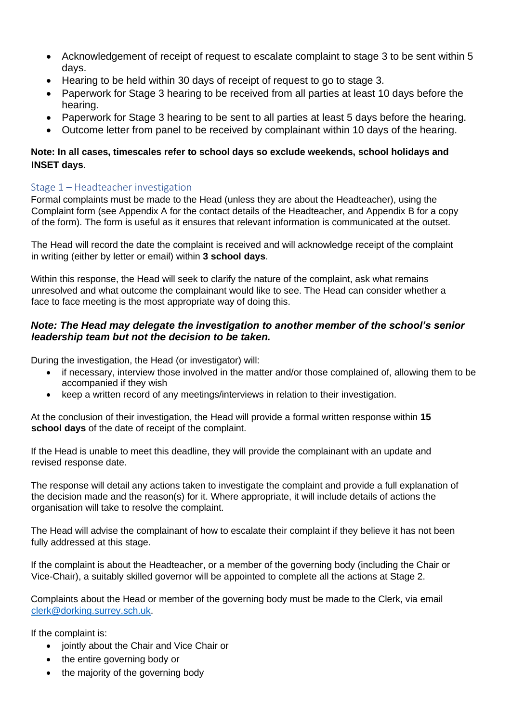- Acknowledgement of receipt of request to escalate complaint to stage 3 to be sent within 5 days.
- Hearing to be held within 30 days of receipt of request to go to stage 3.
- Paperwork for Stage 3 hearing to be received from all parties at least 10 days before the hearing.
- Paperwork for Stage 3 hearing to be sent to all parties at least 5 days before the hearing.
- Outcome letter from panel to be received by complainant within 10 days of the hearing.

## **Note: In all cases, timescales refer to school days so exclude weekends, school holidays and INSET days**.

## Stage 1 – Headteacher investigation

Formal complaints must be made to the Head (unless they are about the Headteacher), using the Complaint form (see Appendix A for the contact details of the Headteacher, and Appendix B for a copy of the form). The form is useful as it ensures that relevant information is communicated at the outset.

The Head will record the date the complaint is received and will acknowledge receipt of the complaint in writing (either by letter or email) within **3 school days**.

Within this response, the Head will seek to clarify the nature of the complaint, ask what remains unresolved and what outcome the complainant would like to see. The Head can consider whether a face to face meeting is the most appropriate way of doing this.

## *Note: The Head may delegate the investigation to another member of the school's senior leadership team but not the decision to be taken.*

During the investigation, the Head (or investigator) will:

- if necessary, interview those involved in the matter and/or those complained of, allowing them to be accompanied if they wish
- keep a written record of any meetings/interviews in relation to their investigation.

At the conclusion of their investigation, the Head will provide a formal written response within **15 school days** of the date of receipt of the complaint.

If the Head is unable to meet this deadline, they will provide the complainant with an update and revised response date.

The response will detail any actions taken to investigate the complaint and provide a full explanation of the decision made and the reason(s) for it. Where appropriate, it will include details of actions the organisation will take to resolve the complaint.

The Head will advise the complainant of how to escalate their complaint if they believe it has not been fully addressed at this stage.

If the complaint is about the Headteacher, or a member of the governing body (including the Chair or Vice-Chair), a suitably skilled governor will be appointed to complete all the actions at Stage 2.

Complaints about the Head or member of the governing body must be made to the Clerk, via email [clerk@dorking.surrey.sch.uk.](mailto:clerk@dorking.surrey.sch.uk)

If the complaint is:

- jointly about the Chair and Vice Chair or
- the entire governing body or
- the majority of the governing body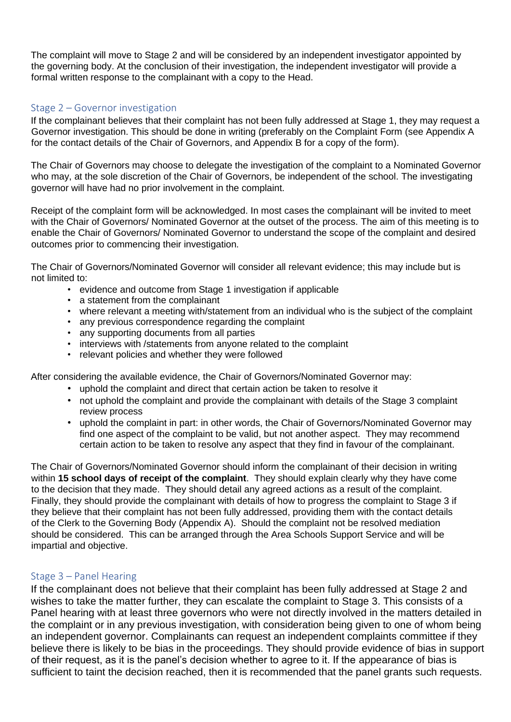The complaint will move to Stage 2 and will be considered by an independent investigator appointed by the governing body. At the conclusion of their investigation, the independent investigator will provide a formal written response to the complainant with a copy to the Head.

#### Stage 2 – Governor investigation

If the complainant believes that their complaint has not been fully addressed at Stage 1, they may request a Governor investigation. This should be done in writing (preferably on the Complaint Form (see Appendix A for the contact details of the Chair of Governors, and Appendix B for a copy of the form).

The Chair of Governors may choose to delegate the investigation of the complaint to a Nominated Governor who may, at the sole discretion of the Chair of Governors, be independent of the school. The investigating governor will have had no prior involvement in the complaint.

Receipt of the complaint form will be acknowledged. In most cases the complainant will be invited to meet with the Chair of Governors/ Nominated Governor at the outset of the process. The aim of this meeting is to enable the Chair of Governors/ Nominated Governor to understand the scope of the complaint and desired outcomes prior to commencing their investigation.

The Chair of Governors/Nominated Governor will consider all relevant evidence; this may include but is not limited to:

- evidence and outcome from Stage 1 investigation if applicable
- a statement from the complainant
- where relevant a meeting with/statement from an individual who is the subject of the complaint
- any previous correspondence regarding the complaint
- any supporting documents from all parties
- interviews with /statements from anyone related to the complaint
- relevant policies and whether they were followed

After considering the available evidence, the Chair of Governors/Nominated Governor may:

- uphold the complaint and direct that certain action be taken to resolve it
- not uphold the complaint and provide the complainant with details of the Stage 3 complaint review process
- uphold the complaint in part: in other words, the Chair of Governors/Nominated Governor may find one aspect of the complaint to be valid, but not another aspect. They may recommend certain action to be taken to resolve any aspect that they find in favour of the complainant.

The Chair of Governors/Nominated Governor should inform the complainant of their decision in writing within **15 school days of receipt of the complaint**. They should explain clearly why they have come to the decision that they made. They should detail any agreed actions as a result of the complaint. Finally, they should provide the complainant with details of how to progress the complaint to Stage 3 if they believe that their complaint has not been fully addressed, providing them with the contact details of the Clerk to the Governing Body (Appendix A). Should the complaint not be resolved mediation should be considered. This can be arranged through the Area Schools Support Service and will be impartial and objective.

#### Stage 3 – Panel Hearing

If the complainant does not believe that their complaint has been fully addressed at Stage 2 and wishes to take the matter further, they can escalate the complaint to Stage 3. This consists of a Panel hearing with at least three governors who were not directly involved in the matters detailed in the complaint or in any previous investigation, with consideration being given to one of whom being an independent governor. Complainants can request an independent complaints committee if they believe there is likely to be bias in the [proceedings.](https://www.gov.uk/government/publications/school-complaints-procedures/best-practice-advice-for-school-complaints-procedures-2019#bias-in-the-proceedings) They should provide evidence of bias in support of their request, as it is the panel's decision whether to agree to it. If the appearance of bias is sufficient to taint the decision reached, then it is recommended that the panel grants such requests.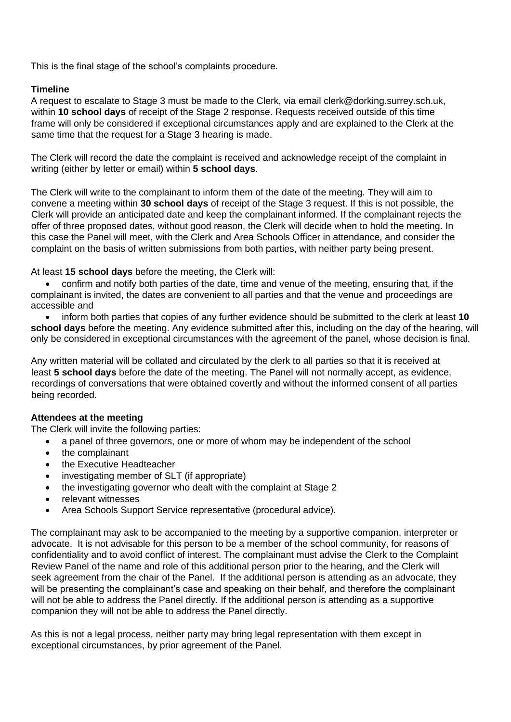This is the final stage of the school's complaints procedure.

### **Timeline**

A request to escalate to Stage 3 must be made to the Clerk, via email clerk@dorking.surrey.sch.uk, within **10 school days** of receipt of the Stage 2 response. Requests received outside of this time frame will only be considered if exceptional circumstances apply and are explained to the Clerk at the same time that the request for a Stage 3 hearing is made.

The Clerk will record the date the complaint is received and acknowledge receipt of the complaint in writing (either by letter or email) within **5 school days**.

The Clerk will write to the complainant to inform them of the date of the meeting. They will aim to convene a meeting within **30 school days** of receipt of the Stage 3 request. If this is not possible, the Clerk will provide an anticipated date and keep the complainant informed. If the complainant rejects the offer of three proposed dates, without good reason, the Clerk will decide when to hold the meeting. In this case the Panel will meet, with the Clerk and Area Schools Officer in attendance, and consider the complaint on the basis of written submissions from both parties, with neither party being present.

At least **15 school days** before the meeting, the Clerk will:

• confirm and notify both parties of the date, time and venue of the meeting, ensuring that, if the complainant is invited, the dates are convenient to all parties and that the venue and proceedings are accessible and

• inform both parties that copies of any further evidence should be submitted to the clerk at least **10 school days** before the meeting. Any evidence submitted after this, including on the day of the hearing, will only be considered in exceptional circumstances with the agreement of the panel, whose decision is final.

Any written material will be collated and circulated by the clerk to all parties so that it is received at least **5 school days** before the date of the meeting. The Panel will not normally accept, as evidence, recordings of conversations that were obtained covertly and without the informed consent of all parties being recorded.

### **Attendees at the meeting**

The Clerk will invite the following parties:

- a panel of three governors, one or more of whom may be independent of the school
- the complainant
- the Executive Headteacher
- investigating member of SLT (if appropriate)
- the investigating governor who dealt with the complaint at Stage 2
- relevant witnesses
- Area Schools Support Service representative (procedural advice).

The complainant may ask to be accompanied to the meeting by a supportive companion, interpreter or advocate. It is not advisable for this person to be a member of the school community, for reasons of confidentiality and to avoid conflict of interest. The complainant must advise the Clerk to the Complaint Review Panel of the name and role of this additional person prior to the hearing, and the Clerk will seek agreement from the chair of the Panel. If the additional person is attending as an advocate, they will be presenting the complainant's case and speaking on their behalf, and therefore the complainant will not be able to address the Panel directly. If the additional person is attending as a supportive companion they will not be able to address the Panel directly.

As this is not a legal process, neither party may bring legal representation with them except in exceptional circumstances, by prior agreement of the Panel.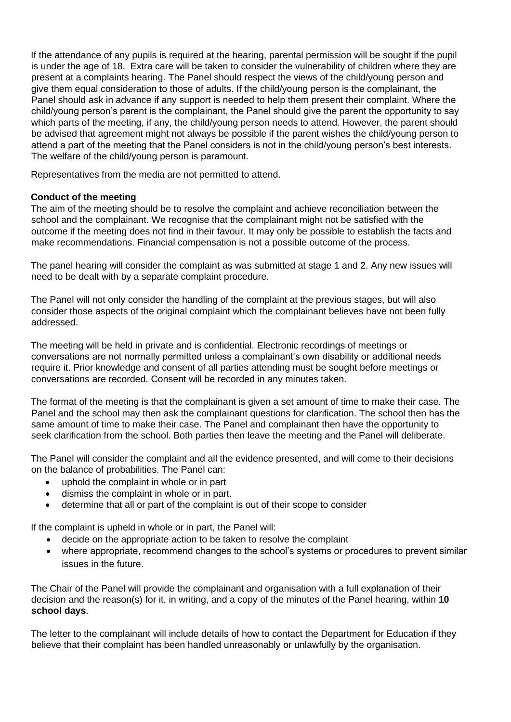If the attendance of any pupils is required at the hearing, parental permission will be sought if the pupil is under the age of 18. Extra care will be taken to consider the vulnerability of children where they are present at a complaints hearing. The Panel should respect the views of the child/young person and give them equal consideration to those of adults. If the child/young person is the complainant, the Panel should ask in advance if any support is needed to help them present their complaint. Where the child/young person's parent is the complainant, the Panel should give the parent the opportunity to say which parts of the meeting, if any, the child/young person needs to attend. However, the parent should be advised that agreement might not always be possible if the parent wishes the child/young person to attend a part of the meeting that the Panel considers is not in the child/young person's best interests. The welfare of the child/young person is paramount.

Representatives from the media are not permitted to attend.

#### **Conduct of the meeting**

The aim of the meeting should be to resolve the complaint and achieve reconciliation between the school and the complainant. We recognise that the complainant might not be satisfied with the outcome if the meeting does not find in their favour. It may only be possible to establish the facts and make recommendations. Financial compensation is not a possible outcome of the process.

The panel hearing will consider the complaint as was submitted at stage 1 and 2. Any new issues will need to be dealt with by a separate complaint procedure.

The Panel will not only consider the handling of the complaint at the previous stages, but will also consider those aspects of the original complaint which the complainant believes have not been fully addressed.

The meeting will be held in private and is confidential. Electronic recordings of meetings or conversations are not normally permitted unless a complainant's own disability or additional needs require it. Prior knowledge and consent of all parties attending must be sought before meetings or conversations are recorded. Consent will be recorded in any minutes taken.

The format of the meeting is that the complainant is given a set amount of time to make their case. The Panel and the school may then ask the complainant questions for clarification. The school then has the same amount of time to make their case. The Panel and complainant then have the opportunity to seek clarification from the school. Both parties then leave the meeting and the Panel will deliberate.

The Panel will consider the complaint and all the evidence presented, and will come to their decisions on the balance of probabilities. The Panel can:

- uphold the complaint in whole or in part
- dismiss the complaint in whole or in part.
- determine that all or part of the complaint is out of their scope to consider

If the complaint is upheld in whole or in part, the Panel will:

- decide on the appropriate action to be taken to resolve the complaint
- where appropriate, recommend changes to the school's systems or procedures to prevent similar issues in the future.

The Chair of the Panel will provide the complainant and organisation with a full explanation of their decision and the reason(s) for it, in writing, and a copy of the minutes of the Panel hearing, within **10 school days**.

The letter to the complainant will include details of how to contact the Department for Education if they believe that their complaint has been handled unreasonably or unlawfully by the organisation.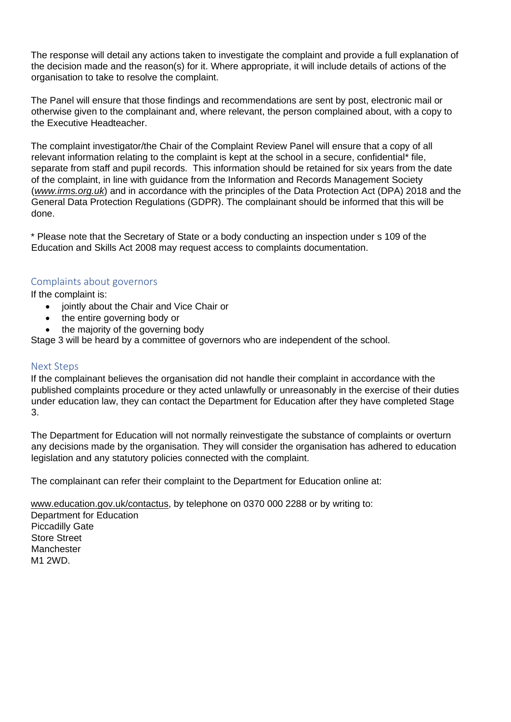The response will detail any actions taken to investigate the complaint and provide a full explanation of the decision made and the reason(s) for it. Where appropriate, it will include details of actions of the organisation to take to resolve the complaint.

The Panel will ensure that those findings and recommendations are sent by post, electronic mail or otherwise given to the complainant and, where relevant, the person complained about, with a copy to the Executive Headteacher.

The complaint investigator/the Chair of the Complaint Review Panel will ensure that a copy of all relevant information relating to the complaint is kept at the school in a secure, confidential\* file, separate from staff and pupil records. This information should be retained for six years from the date of the complaint, in line with guidance from the Information and Records Management Society (*[www.irms.org.uk](http://www.irms.org.uk/)*) and in accordance with the principles of the Data Protection Act (DPA) 2018 and the General Data Protection Regulations (GDPR). The complainant should be informed that this will be done.

\* Please note that the Secretary of State or a body conducting an inspection under s 109 of the Education and Skills Act 2008 may request access to complaints documentation.

### Complaints about governors

If the complaint is:

- jointly about the Chair and Vice Chair or
- the entire governing body or
- the majority of the governing body

Stage 3 will be heard by a committee of governors who are independent of the school.

#### Next Steps

If the complainant believes the organisation did not handle their complaint in accordance with the published complaints procedure or they acted unlawfully or unreasonably in the exercise of their duties under education law, they can contact the Department for Education after they have completed Stage 3.

The Department for Education will not normally reinvestigate the substance of complaints or overturn any decisions made by the organisation. They will consider the organisation has adhered to education legislation and any statutory policies connected with the complaint.

The complainant can refer their complaint to the Department for Education online at:

[www.education.gov.uk/contactus,](http://www.education.gov.uk/contactus) by telephone on 0370 000 2288 or by writing to:

Department for Education Piccadilly Gate Store Street Manchester M1 2WD.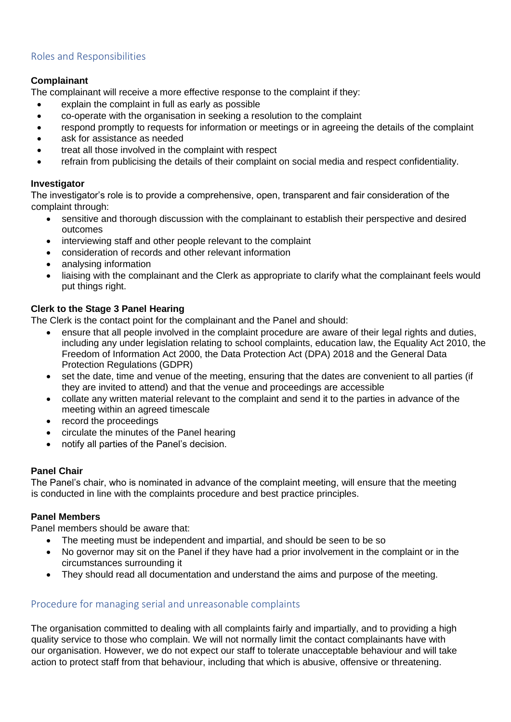## Roles and Responsibilities

#### **Complainant**

The complainant will receive a more effective response to the complaint if they:

- explain the complaint in full as early as possible
- co-operate with the organisation in seeking a resolution to the complaint
- respond promptly to requests for information or meetings or in agreeing the details of the complaint
- ask for assistance as needed
- treat all those involved in the complaint with respect
- refrain from publicising the details of their complaint on social media and respect confidentiality.

#### **Investigator**

The investigator's role is to provide a comprehensive, open, transparent and fair consideration of the complaint through:

- sensitive and thorough discussion with the complainant to establish their perspective and desired outcomes
- interviewing staff and other people relevant to the complaint
- consideration of records and other relevant information
- analysing information
- liaising with the complainant and the Clerk as appropriate to clarify what the complainant feels would put things right.

### **Clerk to the Stage 3 Panel Hearing**

The Clerk is the contact point for the complainant and the Panel and should:

- ensure that all people involved in the complaint procedure are aware of their legal rights and duties, including any under legislation relating to school complaints, education law, the Equality Act 2010, the Freedom of Information Act 2000, the Data Protection Act (DPA) 2018 and the General Data Protection Regulations (GDPR)
- set the date, time and venue of the meeting, ensuring that the dates are convenient to all parties (if they are invited to attend) and that the venue and proceedings are accessible
- collate any written material relevant to the complaint and send it to the parties in advance of the meeting within an agreed timescale
- record the proceedings
- circulate the minutes of the Panel hearing
- notify all parties of the Panel's decision.

#### **Panel Chair**

The Panel's chair, who is nominated in advance of the complaint meeting, will ensure that the meeting is conducted in line with the complaints procedure and best practice principles.

#### **Panel Members**

Panel members should be aware that:

- The meeting must be independent and impartial, and should be seen to be so
- No governor may sit on the Panel if they have had a prior involvement in the complaint or in the circumstances surrounding it
- They should read all documentation and understand the aims and purpose of the meeting.

### Procedure for managing serial and unreasonable complaints

The organisation committed to dealing with all complaints fairly and impartially, and to providing a high quality service to those who complain. We will not normally limit the contact complainants have with our organisation. However, we do not expect our staff to tolerate unacceptable behaviour and will take action to protect staff from that behaviour, including that which is abusive, offensive or threatening.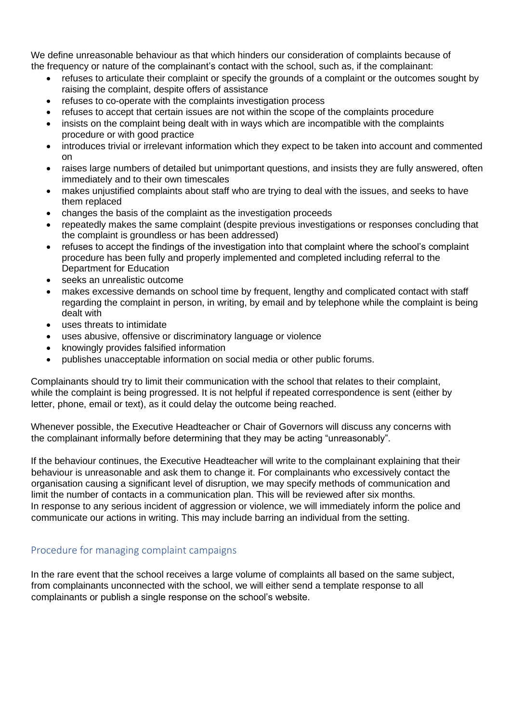We define unreasonable behaviour as that which hinders our consideration of complaints because of the frequency or nature of the complainant's contact with the school, such as, if the complainant:

- refuses to articulate their complaint or specify the grounds of a complaint or the outcomes sought by raising the complaint, despite offers of assistance
- refuses to co-operate with the complaints investigation process
- refuses to accept that certain issues are not within the scope of the complaints procedure
- insists on the complaint being dealt with in ways which are incompatible with the complaints procedure or with good practice
- introduces trivial or irrelevant information which they expect to be taken into account and commented on
- raises large numbers of detailed but unimportant questions, and insists they are fully answered, often immediately and to their own timescales
- makes unjustified complaints about staff who are trying to deal with the issues, and seeks to have them replaced
- changes the basis of the complaint as the investigation proceeds
- repeatedly makes the same complaint (despite previous investigations or responses concluding that the complaint is groundless or has been addressed)
- refuses to accept the findings of the investigation into that complaint where the school's complaint procedure has been fully and properly implemented and completed including referral to the Department for Education
- seeks an unrealistic outcome
- makes excessive demands on school time by frequent, lengthy and complicated contact with staff regarding the complaint in person, in writing, by email and by telephone while the complaint is being dealt with
- uses threats to intimidate
- uses abusive, offensive or discriminatory language or violence
- knowingly provides falsified information
- publishes unacceptable information on social media or other public forums.

Complainants should try to limit their communication with the school that relates to their complaint, while the complaint is being progressed. It is not helpful if repeated correspondence is sent (either by letter, phone, email or text), as it could delay the outcome being reached.

Whenever possible, the Executive Headteacher or Chair of Governors will discuss any concerns with the complainant informally before determining that they may be acting "unreasonably".

If the behaviour continues, the Executive Headteacher will write to the complainant explaining that their behaviour is unreasonable and ask them to change it. For complainants who excessively contact the organisation causing a significant level of disruption, we may specify methods of communication and limit the number of contacts in a communication plan. This will be reviewed after six months. In response to any serious incident of aggression or violence, we will immediately inform the police and communicate our actions in writing. This may include barring an individual from the setting.

### Procedure for managing complaint campaigns

In the rare event that the school receives a large volume of complaints all based on the same subject, from complainants unconnected with the school, we will either send a template response to all complainants or publish a single response on the school's website.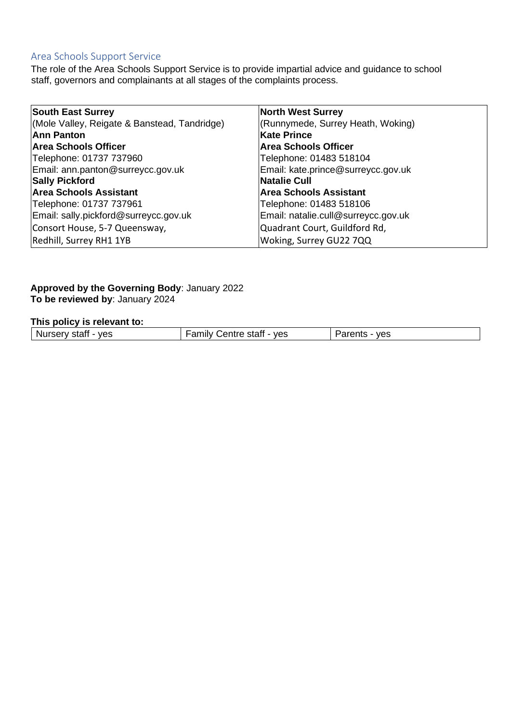## Area Schools Support Service

The role of the Area Schools Support Service is to provide impartial advice and guidance to school staff, governors and complainants at all stages of the complaints process.

| <b>South East Surrey</b>                     | <b>North West Surrey</b>            |
|----------------------------------------------|-------------------------------------|
| (Mole Valley, Reigate & Banstead, Tandridge) | (Runnymede, Surrey Heath, Woking)   |
| <b>Ann Panton</b>                            | <b>Kate Prince</b>                  |
| <b>Area Schools Officer</b>                  | <b>Area Schools Officer</b>         |
| Telephone: 01737 737960                      | Telephone: 01483 518104             |
| Email: ann.panton@surreycc.gov.uk            | Email: kate.prince@surreycc.gov.uk  |
| <b>Sally Pickford</b>                        | <b>Natalie Cull</b>                 |
| <b>Area Schools Assistant</b>                | <b>Area Schools Assistant</b>       |
| Telephone: 01737 737961                      | Telephone: 01483 518106             |
| Email: sally.pickford@surreycc.gov.uk        | Email: natalie.cull@surreycc.gov.uk |
| Consort House, 5-7 Queensway,                | Quadrant Court, Guildford Rd,       |
| Redhill, Surrey RH1 1YB                      | Woking, Surrey GU22 7QQ             |

#### **Approved by the Governing Body**: January 2022 **To be reviewed by**: January 2024

#### **This policy is relevant to:**

| ves<br>ves<br>- Nu<br>ыан<br>551<br>ັບປ<br>. .<br>$ -$<br>____ |
|----------------------------------------------------------------|
|----------------------------------------------------------------|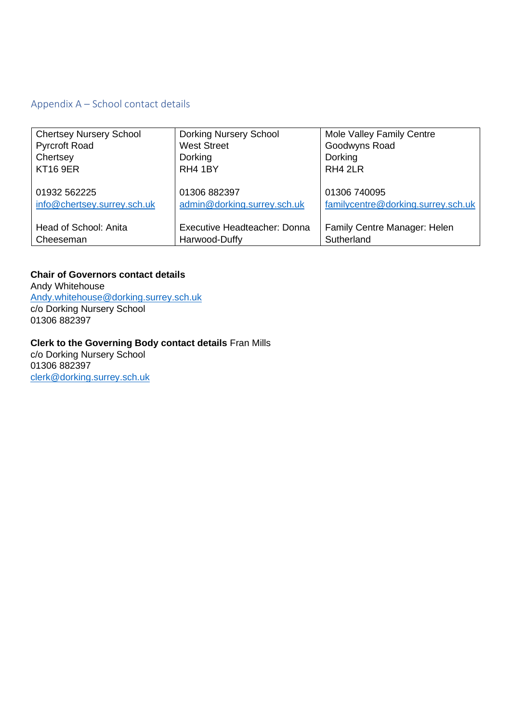## Appendix A – School contact details

| <b>Chertsey Nursery School</b> | <b>Dorking Nursery School</b> | Mole Valley Family Centre          |
|--------------------------------|-------------------------------|------------------------------------|
| <b>Pyrcroft Road</b>           | <b>West Street</b>            | Goodwyns Road                      |
| Chertsey                       | Dorking                       | Dorking                            |
| <b>KT16 9ER</b>                | RH4 1BY                       | RH4 2LR                            |
|                                |                               |                                    |
| 01932 562225                   | 01306 882397                  | 01306 740095                       |
| info@chertsey.surrey.sch.uk    | admin@dorking.surrey.sch.uk   | familycentre@dorking.surrey.sch.uk |
|                                |                               |                                    |
| Head of School: Anita          | Executive Headteacher: Donna  | Family Centre Manager: Helen       |
| Cheeseman                      | Harwood-Duffy                 | Sutherland                         |

**Chair of Governors contact details**  Andy Whitehouse Andy.whitehouse@dorking.surrey.sch.uk c/o Dorking Nursery School 01306 882397

#### **Clerk to the Governing Body contact details** Fran Mills

c/o Dorking Nursery School 01306 882397 clerk@dorking.surrey.sch.uk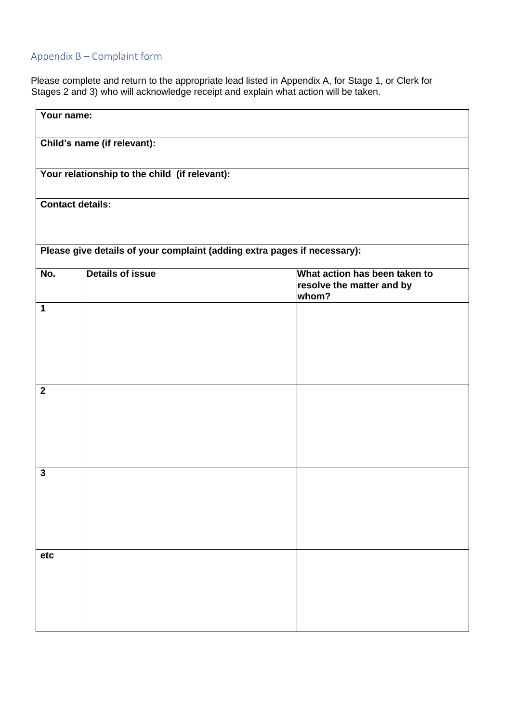# Appendix B – Complaint form

Please complete and return to the appropriate lead listed in Appendix A, for Stage 1, or Clerk for Stages 2 and 3) who will acknowledge receipt and explain what action will be taken.

| Your name:                  |                                                                          |                                                                     |  |  |  |
|-----------------------------|--------------------------------------------------------------------------|---------------------------------------------------------------------|--|--|--|
| Child's name (if relevant): |                                                                          |                                                                     |  |  |  |
|                             | Your relationship to the child (if relevant):                            |                                                                     |  |  |  |
| <b>Contact details:</b>     |                                                                          |                                                                     |  |  |  |
|                             | Please give details of your complaint (adding extra pages if necessary): |                                                                     |  |  |  |
| No.                         | <b>Details of issue</b>                                                  | What action has been taken to<br>resolve the matter and by<br>whom? |  |  |  |
| $\mathbf 1$                 |                                                                          |                                                                     |  |  |  |
| $\mathbf{2}$                |                                                                          |                                                                     |  |  |  |
| $\mathbf{3}$                |                                                                          |                                                                     |  |  |  |
| etc                         |                                                                          |                                                                     |  |  |  |